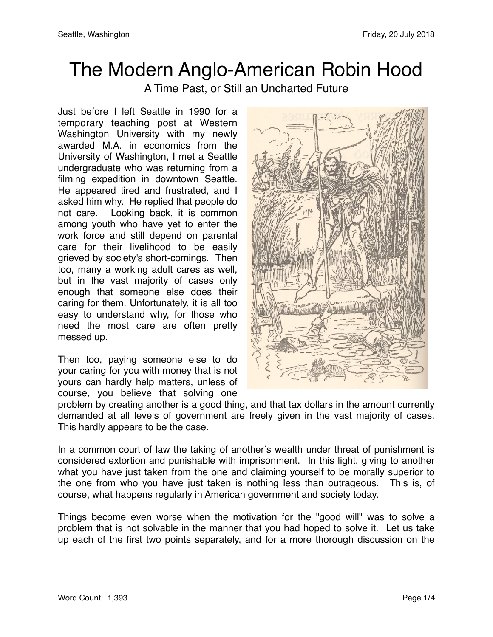## The Modern Anglo-American Robin Hood

A Time Past, or Still an Uncharted Future

Just before I left Seattle in 1990 for a temporary teaching post at Western Washington University with my newly awarded M.A. in economics from the University of Washington, I met a Seattle undergraduate who was returning from a filming expedition in downtown Seattle. He appeared tired and frustrated, and I asked him why. He replied that people do not care. Looking back, it is common among youth who have yet to enter the work force and still depend on parental care for their livelihood to be easily grieved by society's short-comings. Then too, many a working adult cares as well, but in the vast majority of cases only enough that someone else does their caring for them. Unfortunately, it is all too easy to understand why, for those who need the most care are often pretty messed up.

Then too, paying someone else to do your caring for you with money that is not yours can hardly help matters, unless of course, you believe that solving one



problem by creating another is a good thing, and that tax dollars in the amount currently demanded at all levels of government are freely given in the vast majority of cases. This hardly appears to be the case.

In a common court of law the taking of another's wealth under threat of punishment is considered extortion and punishable with imprisonment. In this light, giving to another what you have just taken from the one and claiming yourself to be morally superior to the one from who you have just taken is nothing less than outrageous. This is, of course, what happens regularly in American government and society today.

Things become even worse when the motivation for the "good will" was to solve a problem that is not solvable in the manner that you had hoped to solve it. Let us take up each of the first two points separately, and for a more thorough discussion on the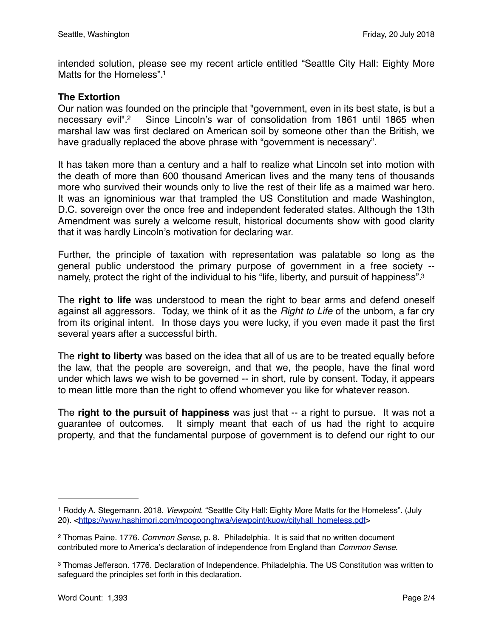intended solution, please see my recent article entitled "Seattle City Hall: Eighty More Matts for the Homeless".<sup>1</sup>

## **The Extortion**

Our nation was founded on the principle that "government, even in its best state, is but a necessary evil"[.2](#page-1-1) Since Lincoln's war of consolidation from 1861 until 1865 when marshal law was first declared on American soil by someone other than the British, we have gradually replaced the above phrase with "government is necessary".

It has taken more than a century and a half to realize what Lincoln set into motion with the death of more than 600 thousand American lives and the many tens of thousands more who survived their wounds only to live the rest of their life as a maimed war hero. It was an ignominious war that trampled the US Constitution and made Washington, D.C. sovereign over the once free and independent federated states. Although the 13th Amendment was surely a welcome result, historical documents show with good clarity that it was hardly Lincoln's motivation for declaring war.

Further, the principle of taxation with representation was palatable so long as the general public understood the primary purpose of government in a free society - namely, protect the right of the individual to his "life, liberty, and pursuit of happiness".<sup>3</sup>

The **right to life** was understood to mean the right to bear arms and defend oneself against all aggressors. Today, we think of it as the *Right to Life* of the unborn, a far cry from its original intent. In those days you were lucky, if you even made it past the first several years after a successful birth.

The **right to liberty** was based on the idea that all of us are to be treated equally before the law, that the people are sovereign, and that we, the people, have the final word under which laws we wish to be governed -- in short, rule by consent. Today, it appears to mean little more than the right to offend whomever you like for whatever reason.

The **right to the pursuit of happiness** was just that -- a right to pursue. It was not a guarantee of outcomes. It simply meant that each of us had the right to acquire property, and that the fundamental purpose of government is to defend our right to our

<span id="page-1-0"></span><sup>1</sup> Roddy A. Stegemann. 2018. *Viewpoint*. "Seattle City Hall: Eighty More Matts for the Homeless". (July 20). <[https://www.hashimori.com/moogoonghwa/viewpoint/kuow/cityhall\\_homeless.pdf](https://www.hashimori.com/moogoonghwa/viewpoint/kuow/cityhall_homeless.pdf)>

<span id="page-1-1"></span><sup>2</sup> Thomas Paine. 1776. *Common Sense*, p. 8. Philadelphia. It is said that no written document contributed more to America's declaration of independence from England than *Common Sense*.

<span id="page-1-2"></span><sup>3</sup> Thomas Jefferson. 1776. Declaration of Independence. Philadelphia. The US Constitution was written to safeguard the principles set forth in this declaration.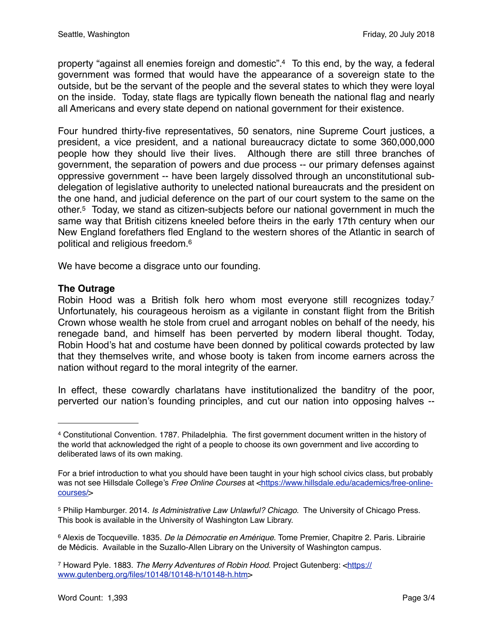property "against all enemies foreign and domestic"[.4](#page-2-0) To this end, by the way, a federal government was formed that would have the appearance of a sovereign state to the outside, but be the servant of the people and the several states to which they were loyal on the inside. Today, state flags are typically flown beneath the national flag and nearly all Americans and every state depend on national government for their existence.

Four hundred thirty-five representatives, 50 senators, nine Supreme Court justices, a president, a vice president, and a national bureaucracy dictate to some 360,000,000 people how they should live their lives. Although there are still three branches of government, the separation of powers and due process -- our primary defenses against oppressive government -- have been largely dissolved through an unconstitutional subdelegation of legislative authority to unelected national bureaucrats and the president on the one hand, and judicial deference on the part of our court system to the same on the other[.5](#page-2-1) Today, we stand as citizen-subjects before our national government in much the same way that British citizens kneeled before theirs in the early 17th century when our New England forefathers fled England to the western shores of the Atlantic in search of political and religious freedom[.6](#page-2-2)

We have become a disgrace unto our founding.

## **The Outrage**

Robin Hood was a British folk hero whom most everyone still recognizes today.<sup>7</sup> Unfortunately, his courageous heroism as a vigilante in constant flight from the British Crown whose wealth he stole from cruel and arrogant nobles on behalf of the needy, his renegade band, and himself has been perverted by modern liberal thought. Today, Robin Hood's hat and costume have been donned by political cowards protected by law that they themselves write, and whose booty is taken from income earners across the nation without regard to the moral integrity of the earner.

In effect, these cowardly charlatans have institutionalized the banditry of the poor, perverted our nation's founding principles, and cut our nation into opposing halves --

<span id="page-2-0"></span><sup>4</sup> Constitutional Convention. 1787. Philadelphia. The first government document written in the history of the world that acknowledged the right of a people to choose its own government and live according to deliberated laws of its own making.

For a brief introduction to what you should have been taught in your high school civics class, but probably was not see Hillsdale College's Free Online Courses at [<https://www.hillsdale.edu/academics/free-online](https://www.hillsdale.edu/academics/free-online-courses/)[courses/>](https://www.hillsdale.edu/academics/free-online-courses/)

<span id="page-2-1"></span><sup>5</sup> Philip Hamburger. 2014. *Is Administrative Law Unlawful? Chicago*. The University of Chicago Press. This book is available in the University of Washington Law Library.

<span id="page-2-2"></span><sup>6</sup> Alexis de Tocqueville. 1835. *De la Démocratie en Amérique*. Tome Premier, Chapitre 2. Paris. Librairie de Médicis. Available in the Suzallo-Allen Library on the University of Washington campus.

<span id="page-2-3"></span><sup>7</sup> Howard Pyle. 1883. *The Merry Adventures of Robin Hood*. Project Gutenberg: <[https://](https://www.gutenberg.org/files/10148/10148-h/10148-h.htm) [www.gutenberg.org/files/10148/10148-h/10148-h.htm>](https://www.gutenberg.org/files/10148/10148-h/10148-h.htm)